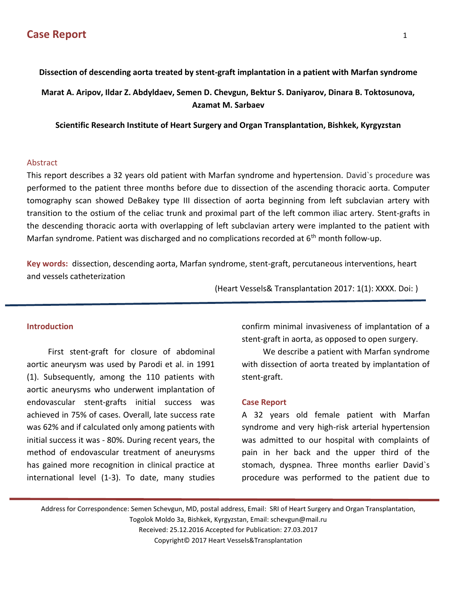# **Dissection of descending aorta treated by stent-graft implantation in a patient with Marfan syndrome**

**Marat A. Aripov, Ildar Z. Abdyldaev, Semen D. Chevgun, Bektur S. Daniyarov, Dinara B. Toktosunova, Azamat M. Sarbaev**

**Scientific Research Institute of Heart Surgery and Organ Transplantation, Bishkek, Kyrgyzstan**

### Abstract

This report describes a 32 years old patient with Marfan syndrome and hypertension. David`s procedure was performed to the patient three months before due to dissection of the ascending thoracic aorta. Computer tomography scan showed DeBakey type III dissection of aorta beginning from left subclavian artery with transition to the ostium of the celiac trunk and proximal part of the left common iliac artery. Stent-grafts in the descending thoracic aorta with overlapping of left subclavian artery were implanted to the patient with Marfan syndrome. Patient was discharged and no complications recorded at  $6<sup>th</sup>$  month follow-up.

**Key words:** dissection, descending aorta, Marfan syndrome, stent-graft, percutaneous interventions, heart and vessels catheterization

(Heart Vessels& Transplantation 2017: 1(1): XXXX. Doi: )

## **Introduction**

First stent-graft for closure of abdominal aortic aneurysm was used by Parodi et al. in 1991 (1). Subsequently, among the 110 patients with aortic aneurysms who underwent implantation of endovascular stent-grafts initial success was achieved in 75% of cases. Overall, late success rate was 62% and if calculated only among patients with initial success it was - 80%. During recent years, the method of endovascular treatment of aneurysms has gained more recognition in clinical practice at international level (1-3). To date, many studies

confirm minimal invasiveness of implantation of a stent-graft in aorta, as opposed to open surgery.

We describe a patient with Marfan syndrome with dissection of aorta treated by implantation of stent-graft.

#### **Case Report**

A 32 years old female patient with Marfan syndrome and very high-risk arterial hypertension was admitted to our hospital with complaints of pain in her back and the upper third of the stomach, dyspnea. Three months earlier David`s procedure was performed to the patient due to

Address for Correspondence: Semen Schevgun, MD, postal address, Email: SRI of Heart Surgery and Organ Transplantation,

Togolok Moldo 3a, Bishkek, Kyrgyzstan, Email: schevgun@mail.ru

Received: 25.12.2016 Accepted for Publication: 27.03.2017 Copyright© 2017 Heart Vessels&Transplantation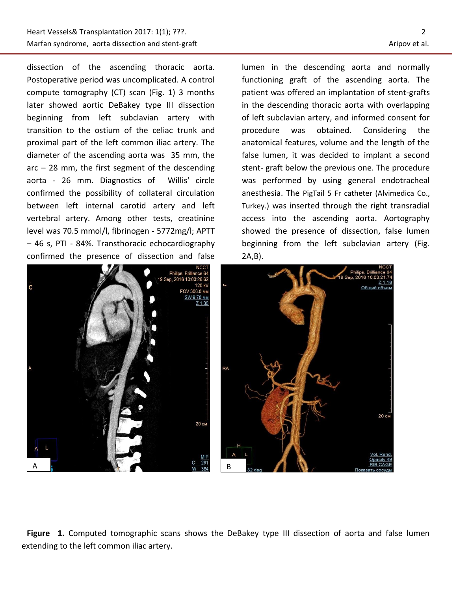j

dissection of the ascending thoracic aorta. Postoperative period was uncomplicated. A control compute tomography (CT) scan (Fig. 1) 3 months later showed aortic DeBakey type III dissection beginning from left subclavian artery with transition to the ostium of the celiac trunk and proximal part of the left common iliac artery. The diameter of the ascending aorta was 35 mm, the  $arc - 28$  mm, the first segment of the descending aorta - 26 mm. Diagnostics of Willis' circle confirmed the possibility of collateral circulation between left internal carotid artery and left vertebral artery. Among other tests, creatinine level was 70.5 mmol/l, fibrinogen - 5772mg/l; APTT – 46 s, PTI - 84%. Transthoracic echocardiography confirmed the presence of dissection and false



lumen in the descending aorta and normally functioning graft of the ascending aorta. The patient was offered an implantation of stent-grafts in the descending thoracic aorta with overlapping of left subclavian artery, and informed consent for procedure was obtained. Considering the anatomical features, volume and the length of the false lumen, it was decided to implant a second stent- graft below the previous one. The procedure was performed by using general endotracheal anesthesia. The PigTail 5 Fr catheter (Alvimedica Co., Turkey.) was inserted through the right transradial access into the ascending aorta. Aortography showed the presence of dissection, false lumen beginning from the left subclavian artery (Fig. 2A,B).



**Figure 1.** Computed tomographic scans shows the DeBakey type III dissection of aorta and false lumen extending to the left common iliac artery.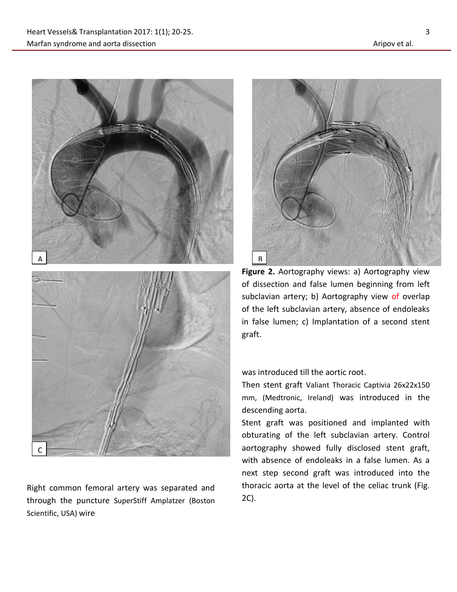

Right common femoral artery was separated and through the puncture SuperStiff Amplatzer (Boston Scientific, USA) wire



**Figure 2.** Aortography views: a) Aortography view of dissection and false lumen beginning from left subclavian artery; b) Aortography view of overlap of the left subclavian artery, absence of endoleaks in false lumen; c) Implantation of a second stent graft.

was introduced till the aortic root.

Then stent graft Valiant Thoracic Captivia 26x22x150 mm, (Medtronic, Ireland) was introduced in the descending aorta.

Stent graft was positioned and implanted with obturating of the left subclavian artery. Control aortography showed fully disclosed stent graft, with absence of endoleaks in a false lumen. As a next step second graft was introduced into the thoracic aorta at the level of the celiac trunk (Fig. 2C).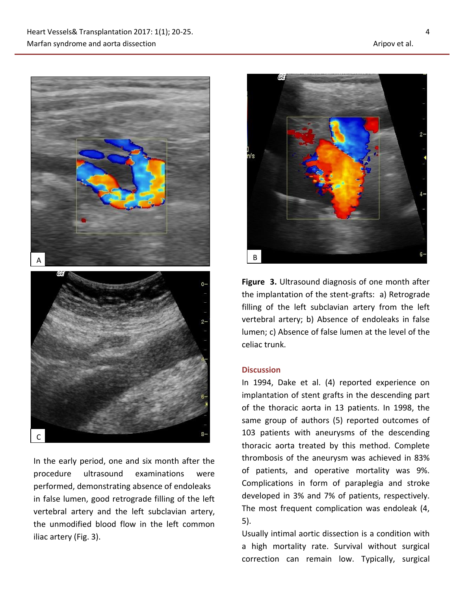

In the early period, one and six month after the procedure ultrasound examinations were performed, demonstrating absence of endoleaks in false lumen, good retrograde filling of the left vertebral artery and the left subclavian artery, the unmodified blood flow in the left common iliac artery (Fig. 3).



**Figure 3.** Ultrasound diagnosis of one month after the implantation of the stent-grafts: a) Retrograde filling of the left subclavian artery from the left vertebral artery; b) Absence of endoleaks in false lumen; c) Absence of false lumen at the level of the celiac trunk.

### **Discussion**

In 1994, Dake et al. (4) reported experience on implantation of stent grafts in the descending part of the thoracic aorta in 13 patients. In 1998, the same group of authors (5) reported outcomes of 103 patients with aneurysms of the descending thoracic aorta treated by this method. Complete thrombosis of the aneurysm was achieved in 83% of patients, and operative mortality was 9%. Complications in form of paraplegia and stroke developed in 3% and 7% of patients, respectively. The most frequent complication was endoleak (4, 5).

Usually intimal aortic dissection is a condition with a high mortality rate. Survival without surgical correction can remain low. Typically, surgical